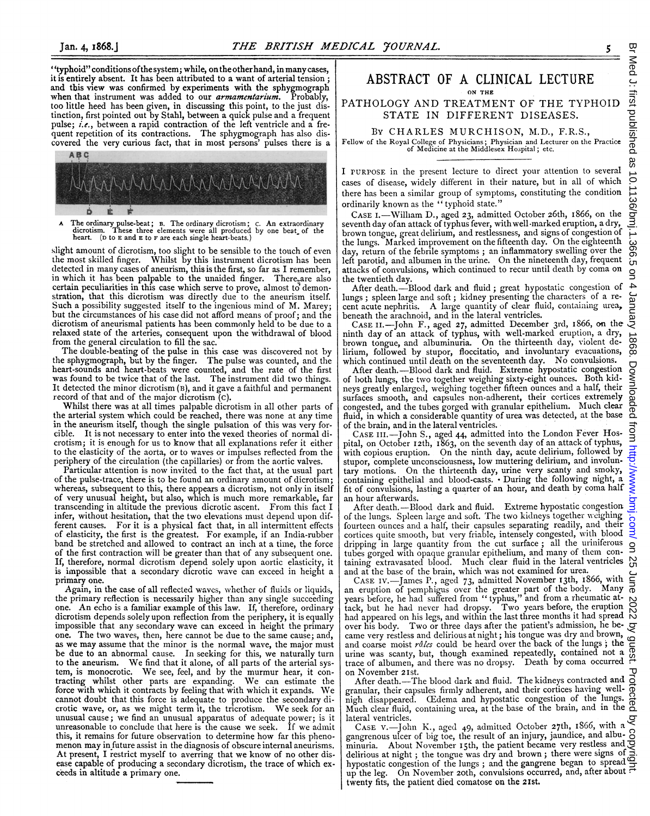"typhoid" conditions ofthe system; while, onthe otherhand, in many cases, it is entirely absent. It has been attributed to a want of arterial tension ; and this view was confirmed by experiments with the sphygmograph when that instrument was added to our *armamentarium*. Probably, too little heed has been given, in discussing this point, to the just distinction, first pointed out by Stahl, between a quick pulse and a frequent pulse;  $i.e.$ , between a rapid contraction of the left ventricle and a frequent repetition of its contractions. The sphygmograph has also discovered the very curious fact, that in most persons' pulses there is a



A The ordinary pulse-beat; B. The ordinary dicrotism; c. An extraordinary dicrotism. These three elements were all produced by one beat of the heart. (D to E and E to F are each single heart-beats.)

slight amount of dicrotism, too slight to be sensible to the touch of even the most skilled finger. Whilst by this instrument dicrotism has been detected in many cases of aneurism, this is the first, so far as <sup>I</sup> remember, in which it has been palpable to the unaided finger. There are also certain peculiarities in this case which serve to prove, almost to demonstration, that this dicrotism was directly due to the aneurism itself. Such a possibility suggested itself to the ingenious mind of M. Marey; but the circumstances of his case did not afford means of proof; and the dicrotism of aneurismal patients has been commonly held to be due to a relaxed state of the arteries, consequent upon the withdrawal of blood from the general circulation to fill the sac.

The double-beating of the pulse in this case was discovered not by the sphygmograph, but by the finger. The pulse was counted, and the heart-sounds and heart-beats were counted, and the rate of the first was found to be twice that of the last. The instrument did two things. It detected the minor dicrotism (B), and it gave a faithful and permanent record of that and of the major dicrotism (c).

Whilst there was at all times palpable dicrotism in all other parts of the arterial system which could be reached, there was none at any time in the aneurism itself, though the single pulsation of this was very forcible. It is not necessary to enter into the vexed theories of normal dicrotism; it is enough for us to know that all explanations refer it either to the elasticity of the aorta, or to waves or impulses reflected from the periphery of the circulation (the capillaries) or from the aortic valves.

Particular attention is now invited to the fact that, at the usual part of the pulse-trace, there is to be found an ordinary amount of dicrotism; whereas, subsequent to this, there appears a dicrotism, not only in itself of very unusual height, but also, which is much more remarkable, far transcending in altitude the previous dicrotic ascent. From this fact <sup>I</sup> infer, without hesitation, that the two elevations must depend upon different causes. For it is a physical fact that, in all intermittent effects of elasticity, the first is the greatest. For example, if an India-rubber band be stretched and allowed to contract an inch at a time, the force of the first contraction will be greater than that of any subsequent one. If, therefore, normal dicrotism depend solely upon aortic elasticity, it is impossible that a secondary dicrotic wave can exceed in height a primary one.

Again, in the case of all reflected waves, whether of fluids or liquids, the primary reflection is necessarily higher than any single succeeding one. An echo is <sup>a</sup> familiar example of this law. If, therefore, ordinary dicrotism depends solely upon reflection from the periphery, it is equally impossible that any secondary wave can exceed in height the primary one. The two waves, then, here cannot be due to the same cause; and, as we may assume that the minor is the normal wave, the major must be due to an abnormal cause. In seeking for this, we naturally turn to the aneurism. We find that it alone, of all parts of the arterial system, is monocrotic. We see, feel, and by the murmur hear, it contracting whilst other parts are expanding. We can estimate the force with which it contracts by feeling that with which it expands. We cannot doubt that this force is adequate to produce the secondary dicrotic wave, or, as we might term it, the tricrotism. We seek for an unusual cause; we find an unusual apparatus of adequate power; is it unreasonable to conclude that here is the cause we seek. If we admit this, it remains for future observation to determine how far this phenomenon may in future assist in the diagnosis of obscure internal aneurisms. At present, <sup>I</sup> restrict myself to averring that we know of no other disease capable of producing a secondary dicrotism, the trace of which exceeds in altitude a primary one.

### ABSTRACT OF A CLINICAL LECTURE ON THE

PATHOLOGY AND TREATMENT OF THE TYPHOID STATE IN DIFFERENT DISEASES.

By CHARLES MURCHISON, M.D., F.R.S., Fellow of the Royal College of Physicians; Physician and Lecturer on the Practice of Medicine at the Middlesex Hospital; etc.

I PURPOSE in the present lecture to direct your attention to several cases of disease, widely different in their nature, but in all of which there has been a similar group of symptoms, constituting the condition ordinarily known as the " typhoid state."

CASE I.-William D., aged 23, admitted October 26th, 1866, on the seventh day of an attack of typhus fever, with well marked eruption, a dry, brown tongue, great delirium, and restlessness, and signs of congestion of the lungs. Marked improvement on the fifteenth day. On the eighteenth day, return of the febrile symptoms ; an inflammatory swelling over the left parotid, and albumen in the urine. On the nineteenth day, frequent attacks of convulsions, which continued to recur until death by coma on the twentieth day.

After death.-Blood dark and fluid; great hypostatic congestion of lungs; spleen large and soft; kidney presenting the characters of a recent acute nephritis. A large quantity of clear fluid, containing urea, beneath the arachnoid, and in the lateral ventricles.

CASE II.-John F., aged 27, admitted December 3rd, i866, on the ninth day of an attack of typhus, with well-marked eruption, a dry, brown tongue, and albuminuria. On the thirteenth day, violent delirium, followed by stupor, floccitatio, and involuntary evacuations, which continued until death on the seventeenth day. No convulsions.

After death.-Blood dark and fluid. Extreme hypostatic congestion of both lungs, the twvo together weighing sixty-eight ounces. Both kidneys greatly enlarged, weighing together fifteen ounces and a half, their surfaces smooth, and capsules non-adherent, their cortices extremely congested, and the tubes gorged with granular epithelium. Much clear fluid, in which a considerable quantity of urea was detected, at the base of the brain, and in the lateral ventricles.

CASE iiI.-John S., aged 44, admitted into the London Fever Hospital, on October 12th, i863, on the seventh day of an attack of typhus, with copious eruption. On the ninth day, acute delirium, followed by stupor, complete unconsciousness, low muttering delirium, and involuntary motions. On the thirteenth day, urine very scanty and smoky, containing epithelial and blood-casts. - During the following night, a fit of convulsions, lasting a quarter of an hour, and death by coma half an hour afterwards.

After death.--Blood dark and fluid. Extreme hypostatic congestion of the lungs. Spleen large and soft. The two kidneys together weighing fourteen ounces and a half, their capsules separating readily, and their cortices quite smooth, but very friable, intensely congested, with blood dripping in large quantity from the cut surface ; all the uriniferous tubes gorged with opaque granular epithelium, and many of them con-taining extravasated blood. Much clear fluid in the lateral ventricles

and at the base of the brain, which was not examined for urea. CASE Iv.-James P., aged 73, admitted November 13th, 1866, with an eruption of pemphigus over the greater part of the body. Many years before, he had suffered from " typhus," and from a rheumatic at-tack, but he had never had dropsy. Two years before, the eruption years before, he had suffered from "typhus," and from a rheumatic at-<br>tack, but he had never had dropsy. Two years before, the eruption  $\bigcirc$ <br>had appeared on his legs, and within the last three months it had spread N over his body. Two or three days after the patient's admission, he became very restless and delirious at night; his tongue was dry and brown, and coarse moist râles could be heard over the back of the lungs; the urine was scanty, but, though examined repeatedly, contained not a trace of albumen, and there was no dropsy. Death by coma occurred on November 2Ist.

After death.-The blood dark and fluid. The kidneys contracted and granular, their capsules firmly adherent, and their cortices having wellnigh disappeared. (Edema and hypostatic congestion of the lungs. Much clear fluid, containing urea, at the base of the brain, and in the  $\overline{9}$ lateral ventricles.

CASE V.-John K., aged 49, admitted October 27th, 1866, with a gangrenous ulcer of big toe, the result of an injury, jaundice, and albu-minuria. About November <sup>i</sup> th, the patient became very restless and delirious at night; the tongue was dry and brown; there were signs of hypostatic congestion of the lungs; and the gangrene began to spread 9 up the leg. On November 20th, convulsions occurred, and, after about  $\vec{r}$ twenty fits, the patient died comatose on the 21St.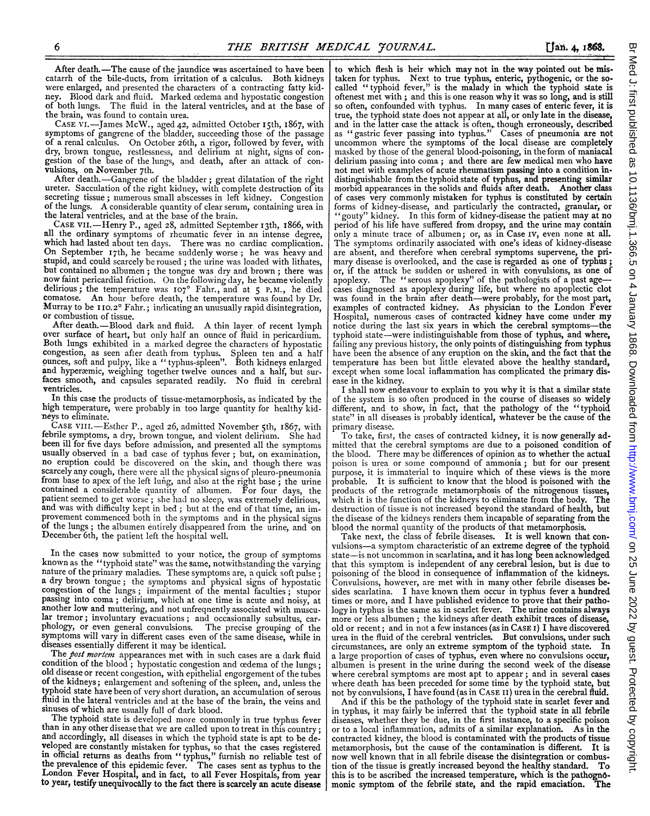After death.-The cause of the jaundice was ascertained to have been catarrh of the bile-ducts, from irritation of a calculus. Both kidneys were enlarged, and presented the characters of a contracting fatty kidney. Blood dark and fluid. Marked cedema and hypostatic congestion of both lungs. The fluid in the lateral ventricles, and at the base of the brain, was found to contain urea.

CASE VI. --James McW., aged 42, admitted October 15th, 1867, with symptoms of gangrene of the bladder, succeeding those of the passage symptoms of gangrene of the bladder, succeeding those of the passage of <sup>a</sup> renal calculus. On October 26th, <sup>a</sup> rigor, followed by fever, with dry, brown tongue, restlessness, and delirium at night, signs of congestion of the base of the lungs, and death, after an attack of convulsions, on November 7th.

After death.-Gangrene of the bladder; great dilatation of the right ureter. Sacculation of the right kidney, with complete destruction of its secreting tissue; numerous small abscesses in left kidney. Congestion of the lungs. <sup>A</sup> considerable quantity of clear serum, containing urea in the lateral ventricles, and at the base of the brain.

CASE VII.-Henry P., aged 28, admitted September 13th, 1866, with all the ordinary symptoms of rheumatic fever in an intense degree, which had lasted about ten days. There was no cardiac complication. On September 17th, he became suddenly worse; he was heavy and stupid, and could scarcely be roused; the urine was loaded with lithates, but contained no albumen; the tongue was dry and brown; there was now faint pericardial friction. On the following day, he became violently delirious; the temperature was 107<sup>0</sup> Fahr., and at 5 P.M., he died<br>comatose. An hour before death, the temperature was found by Dr. Murray to be 110.2° Fahr.; indicating an unusually rapid disintegration, or combustion of tissue.<br>After death.—Blood dark and fluid. A thin layer of recent lymph

over surface of heart, but only half an ounce of fluid in pericardium.<br>Both lungs exhibited in a marked degree the characters of hypostatic congestion, as seen after death from typhus. Spleen ten and a half ounces, soft and pulpy, like a "typhus-spleen". Both kidneys enlarged and hyperæmic, weighing together twelve ounces and a half, but surfaces smooth, and capsules separated readily. No fluid in cerebral ventricles.

In this case the products of tissue-metamorphosis, as indicated by the high temperature, were probably in too large quantity for healthy kidneys to eliminate.

CASE VIII. Esther P., aged 26, admitted November 5th, 1867, with febrile symptoms, <sup>a</sup> dry, brown tongue, and violent delirium. She had been ill for five days before admission, and presented all the symptoms usually observed in a bad case of typhus fever; but, on examination, no eruption could be discovered on the skin, and though there was scarcely any cough, there were all the physical signs of pleuro-pneumonia from base to apex of the left lung, and also at the right base; the urine contained <sup>a</sup> considerable quantity of albumen. For four days, the patient seemed to get worse; she had no sleep, was extremely delirious, and was with difficulty kept in bed; but at the end of that time, an improvement commenced both in the symptoms and in the physical signs of the lungs; the albumen entirely disappeared from the urine, and on December 6th, the patient left the hospital well.

In the cases now submitted to your notice, the group of symptoms<br>known as the "typhoid state" was the same, notwithstanding the varying<br>nature of the primary maladies. These symptoms are, a quick soft pulse;<br>a dry brown to passing into coma; delirium, which at one time is acute and noisy, at another low and muttering, and not unfrequently associated with muscuanother low and muttering, and not unfrequently associated with muscular tremor; involuntary evacuations; and occasionally subsultus, car-<br>phology, or even general convulsions. The precise grouping of the symptoms will vary in different cases even of the same disease, while in diseases essentially different it may be identical.

The post mortem appearances met with in such cases are a dark fluid condition of the blood; hypostatic congestion and ocdema of the lungs; old disease or recent congestion, with epithelial engorgement of the tubes of the k fluid in the lateral ventricles and at the base of the brain, the veins and sinuses of which are usually full of dark blood. The typhoid state is developed more commonly in true typhus fever

than in any other disease that we are called upon to treat in this country; and accordingly, all diseases in which the typhoid state is apt to be deand accountingly, an users in which the typhold state is apt to be de-<br>reloped are constantly mistaken for typhus, so that the cases registered<br>in official returns as deaths from "typhus," furnish no reliable test of<br>the p

to which flesh is heir which may not in the way pointed out be mistaken for typhus. Next to true typhus, enteric, pythogenic, or the socalled "typhoid fever," is the malady in which the typhoid state is oftenest met with ; and this is one reason why it was so long, and is still so often, confounded with typhus. In many cases of enteric fever, it is true, the typhoid state does not appear at all, or only late in the disease, and in the latter case the attack is often, though erroneously, described as "gastric fever passing into typhus." Cases of pneumonia are not uncommon where the symptoms of the local disease are completely masked by those of the general blood-poisoning, in the form of maniacal delirium passing into coma; and there are few medical men who have not met with examples of acute rheumatism passing into a condition indistinguishable from the typhoid state of typhus, and presenting similar morbid appearances in the solids and fluids after death. Another class of cases very commonly mistaken for typhus is constituted by certain<br>forms of kidney-disease, and particularly the contracted, granular, or<br>"gouty" kidney. In this form of kidney-disease the patient may at no period of his life have suffered from dropsy, and the urine may contain only a minute trace of albumen; or, as in Case IV, even none at all. The symptoms ordinarily associated with one's ideas of kidney-disease are absent, and therefore when cerebral symptoms supervene, the primary disease is overlooked, and the case is regarded as one of typhus; or, if the attack be sudden or ushered in with convulsions, as one of apoplexy. The "serous apoplexy" of the pathologists of a past agecases diagnosed as apoplexy during life, but where no apoplectic clot was found in the brain after death-were probably, for the most part, examples of contracted kidney. As physician to the London Fever Hospital, numerous cases of contracted kidney have come under my notice during the last six years in which the cerebral symptoms-the typhoid state-were indistinguishable from those of typhus, and where, failing any previous history, the only points of distinguishing from typhus have been the absence of any eruption on the skin, and the fact that the temperature has been but little elevated above the healthy standard, except when some local inflammation has complicated the primary disease in the kidney.

<sup>I</sup> shall now endeavour to explain to you why it is that a similar state of the system is so often produced in the course of diseases so widely different, and to show, in fact, that the pathology of the "typhoid state" in all diseases is probably identical, whatever be the cause of the primary disease.

To take, first, the cases of contracted kidney, it is now generally admitted that the cerebral symptoms are due to a poisoned condition of the blood. There maybe differences of opinion as to whether the actual poison is urea or some compound of ammonia; but for our present purpose, it is immaterial to inquire which of these views is the more probable. It is sufficient to know that the blood is poisoned with the products of the retrograde metamorphosis of the nitrogenous tissues, which it is the function of the kidneys to eliminate from the body. The destruction of tissue is not increased beyond the standard of health, but the disease of the kidneys renders them incapable of separating from the blood the normal quantity of the products of that metamorphosis.

Take next, the class of febrile diseases. It is well known that convulsions-a symptom characteristic of an extreme degree of the typhoid state-is not uncommon in scarlatina, and it has long been acknowledged that this symptom is independent of any cerebral lesion, but is due to poisoning of the blood in consequence of inflammation of the kidneys. Convulsions, however, are met with in many other febrile diseases besides scarlatina. I have known them occur in typhus fever a hundred times or more, and <sup>I</sup> have published evidence to prove that their pathology in typhus is the same as in scarlet fever. The urine contains always<br>more or less albumen; the kidneys after death exhibit traces of disease, old or recent; and in not a few instances (as in CASE I) <sup>I</sup> have discovered urea in the fluid of the cerebral ventricles. But convulsions, under such circumstances, are only an extreme symptom of the typhoid state. In a large proportion of cases of typhus, even where no convulsions occur, albumen is present in the urine during the second week of the disease where cerebral symptoms are most apt to appear; and in several cases where death has been preceded for some time by the typhoid state, but not by convulsions, <sup>I</sup> have found (as in CASE II) urea in the cerebral fluid.

And if this be the pathology of the typhoid state in scarlet fever and in typhus, it may fairly be inferred that the typhoid state in all febrile diseases, whether they be due, in the first instance, to a specific poison or to a local inflammation, admits of a similar explanation. As in the contracted kidney, the blood is contaminated with the products of tissue metamorphosis, but the cause of the contamination is different. It is now well known that in all febrile disease the disintegration or combustion of the tissue is greatly increased beyond the healthy standard. To this is to be ascribed the increased temperature, which is the pathognomonic symptom of the febrile state, and the rapid emaciation. The monic symptom of the febrile state, and the rapid emaciation.